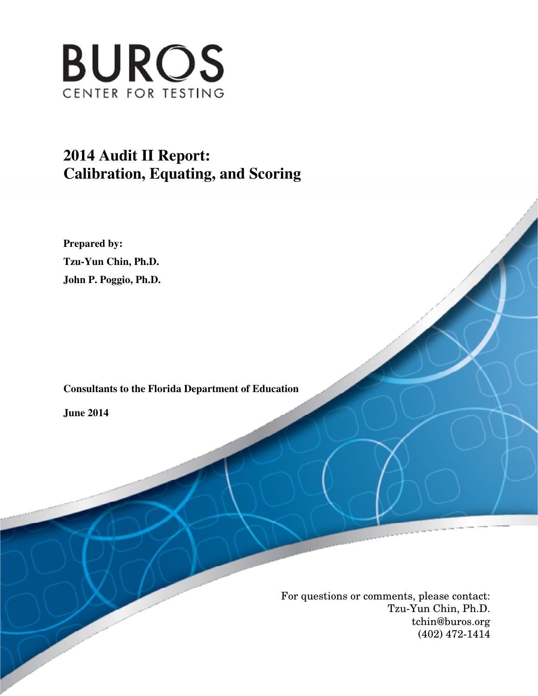

# **2014 Audit II Report: Calibration, Equating, and Scoring**

 **Prepared by: Tzu-Yun Chin, Ph.D. John P. Poggio, Ph.D.** 

 **Consultants to the Florida Department of Education** 

 **June 2014** 

 For questions or comments, please contact: Tzu-Yun Chin, Ph.D. tchin@buros.org (402) 472-1414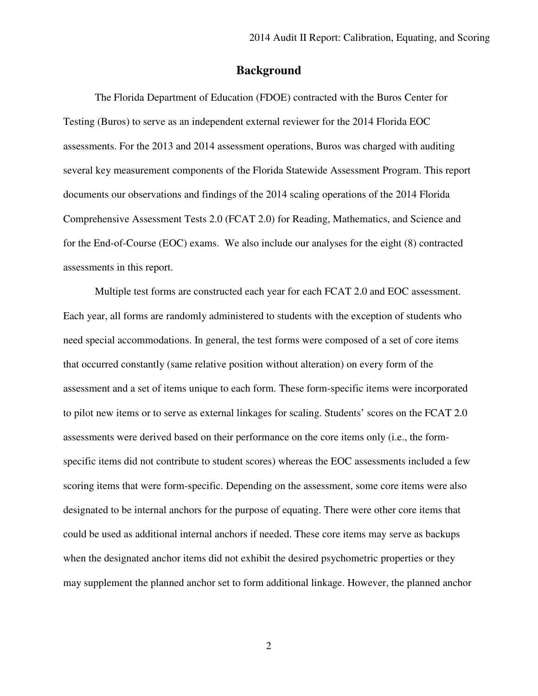### **Background**

 The Florida Department of Education (FDOE) contracted with the Buros Center for Testing (Buros) to serve as an independent external reviewer for the 2014 Florida EOC assessments. For the 2013 and 2014 assessment operations, Buros was charged with auditing several key measurement components of the Florida Statewide Assessment Program. This report documents our observations and findings of the 2014 scaling operations of the 2014 Florida Comprehensive Assessment Tests 2.0 (FCAT 2.0) for Reading, Mathematics, and Science and for the End-of-Course (EOC) exams. We also include our analyses for the eight (8) contracted assessments in this report.

 Multiple test forms are constructed each year for each FCAT 2.0 and EOC assessment. Each year, all forms are randomly administered to students with the exception of students who need special accommodations. In general, the test forms were composed of a set of core items that occurred constantly (same relative position without alteration) on every form of the assessment and a set of items unique to each form. These form-specific items were incorporated to pilot new items or to serve as external linkages for scaling. Students' scores on the FCAT 2.0 assessments were derived based on their performance on the core items only (i.e., the form- specific items did not contribute to student scores) whereas the EOC assessments included a few scoring items that were form-specific. Depending on the assessment, some core items were also designated to be internal anchors for the purpose of equating. There were other core items that could be used as additional internal anchors if needed. These core items may serve as backups when the designated anchor items did not exhibit the desired psychometric properties or they may supplement the planned anchor set to form additional linkage. However, the planned anchor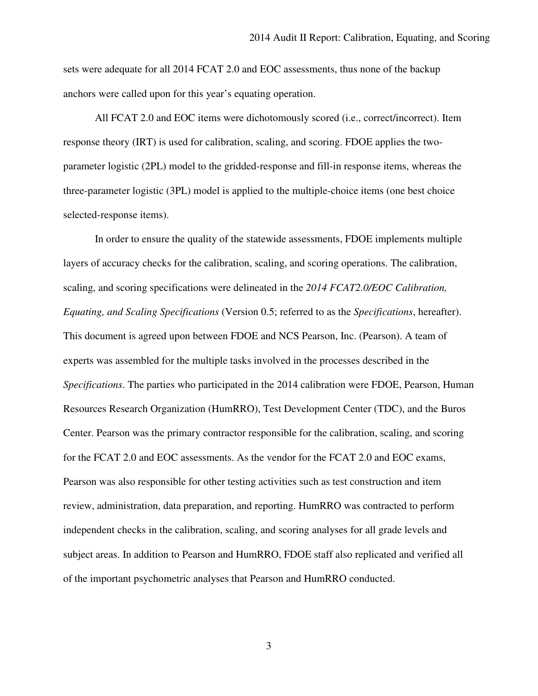sets were adequate for all 2014 FCAT 2.0 and EOC assessments, thus none of the backup anchors were called upon for this year's equating operation.

 All FCAT 2.0 and EOC items were dichotomously scored (i.e., correct/incorrect). Item response theory (IRT) is used for calibration, scaling, and scoring. FDOE applies the two- parameter logistic (2PL) model to the gridded-response and fill-in response items, whereas the three-parameter logistic (3PL) model is applied to the multiple-choice items (one best choice selected-response items).

 In order to ensure the quality of the statewide assessments, FDOE implements multiple layers of accuracy checks for the calibration, scaling, and scoring operations. The calibration, scaling, and scoring specifications were delineated in the *2014 FCAT2.0/EOC Calibration, Equating, and Scaling Specifications* (Version 0.5; referred to as the *Specifications*, hereafter). This document is agreed upon between FDOE and NCS Pearson, Inc. (Pearson). A team of experts was assembled for the multiple tasks involved in the processes described in the *Specifications*. The parties who participated in the 2014 calibration were FDOE, Pearson, Human Resources Research Organization (HumRRO), Test Development Center (TDC), and the Buros Center. Pearson was the primary contractor responsible for the calibration, scaling, and scoring for the FCAT 2.0 and EOC assessments. As the vendor for the FCAT 2.0 and EOC exams, Pearson was also responsible for other testing activities such as test construction and item review, administration, data preparation, and reporting. HumRRO was contracted to perform independent checks in the calibration, scaling, and scoring analyses for all grade levels and subject areas. In addition to Pearson and HumRRO, FDOE staff also replicated and verified all of the important psychometric analyses that Pearson and HumRRO conducted.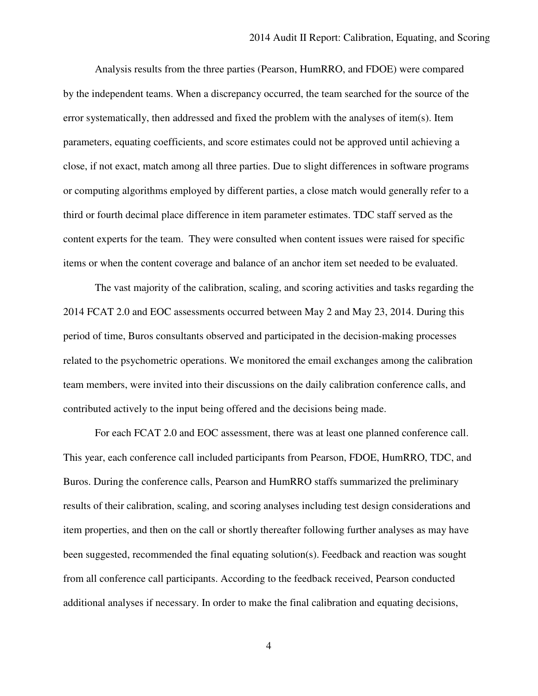Analysis results from the three parties (Pearson, HumRRO, and FDOE) were compared by the independent teams. When a discrepancy occurred, the team searched for the source of the error systematically, then addressed and fixed the problem with the analyses of item(s). Item parameters, equating coefficients, and score estimates could not be approved until achieving a close, if not exact, match among all three parties. Due to slight differences in software programs or computing algorithms employed by different parties, a close match would generally refer to a third or fourth decimal place difference in item parameter estimates. TDC staff served as the content experts for the team. They were consulted when content issues were raised for specific items or when the content coverage and balance of an anchor item set needed to be evaluated.

 The vast majority of the calibration, scaling, and scoring activities and tasks regarding the 2014 FCAT 2.0 and EOC assessments occurred between May 2 and May 23, 2014. During this period of time, Buros consultants observed and participated in the decision-making processes related to the psychometric operations. We monitored the email exchanges among the calibration team members, were invited into their discussions on the daily calibration conference calls, and contributed actively to the input being offered and the decisions being made.

 For each FCAT 2.0 and EOC assessment, there was at least one planned conference call. This year, each conference call included participants from Pearson, FDOE, HumRRO, TDC, and Buros. During the conference calls, Pearson and HumRRO staffs summarized the preliminary results of their calibration, scaling, and scoring analyses including test design considerations and item properties, and then on the call or shortly thereafter following further analyses as may have been suggested, recommended the final equating solution(s). Feedback and reaction was sought from all conference call participants. According to the feedback received, Pearson conducted additional analyses if necessary. In order to make the final calibration and equating decisions,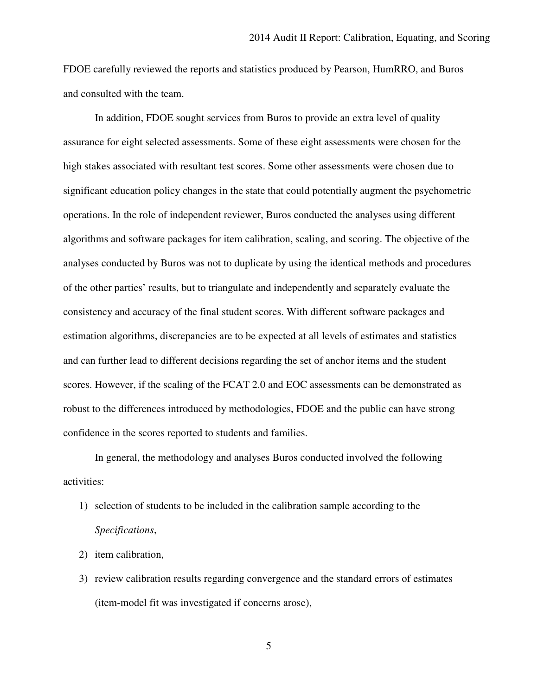FDOE carefully reviewed the reports and statistics produced by Pearson, HumRRO, and Buros and consulted with the team.

 In addition, FDOE sought services from Buros to provide an extra level of quality assurance for eight selected assessments. Some of these eight assessments were chosen for the high stakes associated with resultant test scores. Some other assessments were chosen due to significant education policy changes in the state that could potentially augment the psychometric operations. In the role of independent reviewer, Buros conducted the analyses using different algorithms and software packages for item calibration, scaling, and scoring. The objective of the analyses conducted by Buros was not to duplicate by using the identical methods and procedures of the other parties' results, but to triangulate and independently and separately evaluate the consistency and accuracy of the final student scores. With different software packages and estimation algorithms, discrepancies are to be expected at all levels of estimates and statistics and can further lead to different decisions regarding the set of anchor items and the student scores. However, if the scaling of the FCAT 2.0 and EOC assessments can be demonstrated as robust to the differences introduced by methodologies, FDOE and the public can have strong confidence in the scores reported to students and families.

 In general, the methodology and analyses Buros conducted involved the following activities:

- 1) selection of students to be included in the calibration sample according to the *Specifications*,
- 2) item calibration,
- 3) review calibration results regarding convergence and the standard errors of estimates (item-model fit was investigated if concerns arose),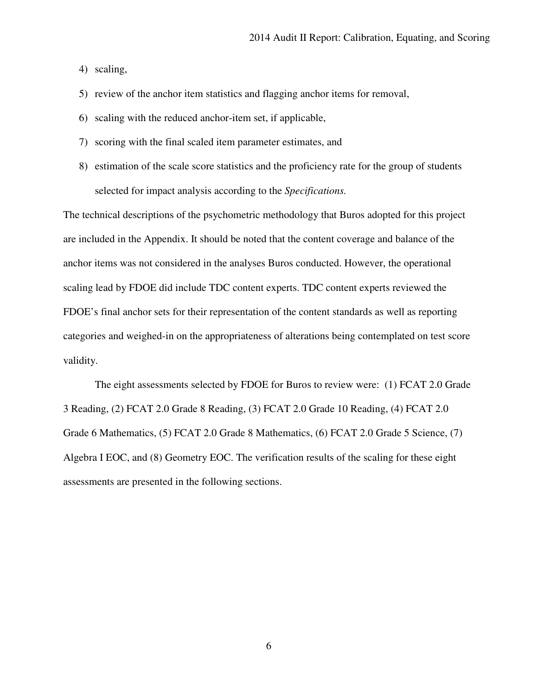4) scaling,

5) review of the anchor item statistics and flagging anchor items for removal,

- 6) scaling with the reduced anchor-item set, if applicable,
- 7) scoring with the final scaled item parameter estimates, and
- 8) estimation of the scale score statistics and the proficiency rate for the group of students selected for impact analysis according to the *Specifications.*

 The technical descriptions of the psychometric methodology that Buros adopted for this project are included in the Appendix. It should be noted that the content coverage and balance of the anchor items was not considered in the analyses Buros conducted. However, the operational scaling lead by FDOE did include TDC content experts. TDC content experts reviewed the FDOE's final anchor sets for their representation of the content standards as well as reporting categories and weighed-in on the appropriateness of alterations being contemplated on test score validity.

 The eight assessments selected by FDOE for Buros to review were: (1) FCAT 2.0 Grade 3 Reading, (2) FCAT 2.0 Grade 8 Reading, (3) FCAT 2.0 Grade 10 Reading, (4) FCAT 2.0 Grade 6 Mathematics, (5) FCAT 2.0 Grade 8 Mathematics, (6) FCAT 2.0 Grade 5 Science, (7) Algebra I EOC, and (8) Geometry EOC. The verification results of the scaling for these eight assessments are presented in the following sections.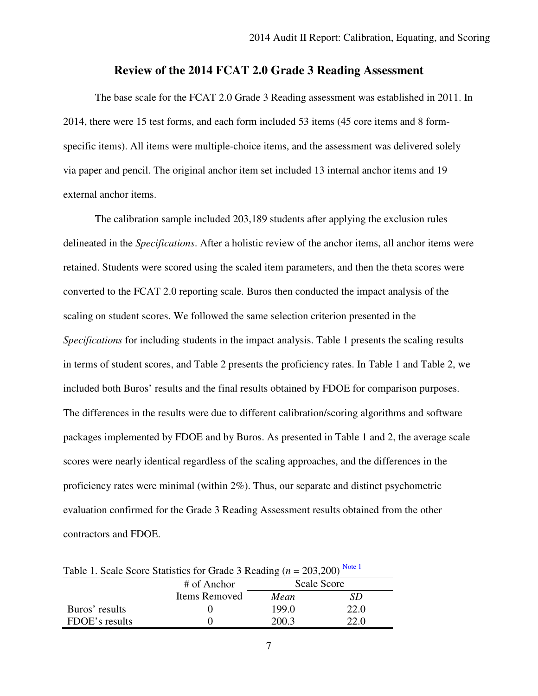# **Review of the 2014 FCAT 2.0 Grade 3 Reading Assessment**

 The base scale for the FCAT 2.0 Grade 3 Reading assessment was established in 2011. In 2014, there were 15 test forms, and each form included 53 items (45 core items and 8 form- specific items). All items were multiple-choice items, and the assessment was delivered solely via paper and pencil. The original anchor item set included 13 internal anchor items and 19 external anchor items.

 The calibration sample included 203,189 students after applying the exclusion rules delineated in the *Specifications*. After a holistic review of the anchor items, all anchor items were retained. Students were scored using the scaled item parameters, and then the theta scores were converted to the FCAT 2.0 reporting scale. Buros then conducted the impact analysis of the scaling on student scores. We followed the same selection criterion presented in the *Specifications* for including students in the impact analysis. Table 1 presents the scaling results in terms of student scores, and Table 2 presents the proficiency rates. In Table 1 and Table 2, we included both Buros' results and the final results obtained by FDOE for comparison purposes. The differences in the results were due to different calibration/scoring algorithms and software packages implemented by FDOE and by Buros. As presented in Table 1 and 2, the average scale scores were nearly identical regardless of the scaling approaches, and the differences in the proficiency rates were minimal (within 2%). Thus, our separate and distinct psychometric evaluation confirmed for the Grade 3 Reading Assessment results obtained from the other contractors and FDOE.

| Table 1. Scale Scote Statistics for Grade 3 Keading $(h = 203,200)$ |               |             |      |  |  |  |
|---------------------------------------------------------------------|---------------|-------------|------|--|--|--|
|                                                                     | # of Anchor   | Scale Score |      |  |  |  |
|                                                                     | Items Removed | Mean        |      |  |  |  |
| Buros' results                                                      |               | 199.0       | 22.0 |  |  |  |
| FDOE's results                                                      |               | 200.3       | 22.0 |  |  |  |

Table 1. Scale Score Statistics for Grade 3 Reading  $(n = 203,200) \frac{\text{Note } 1}{n}$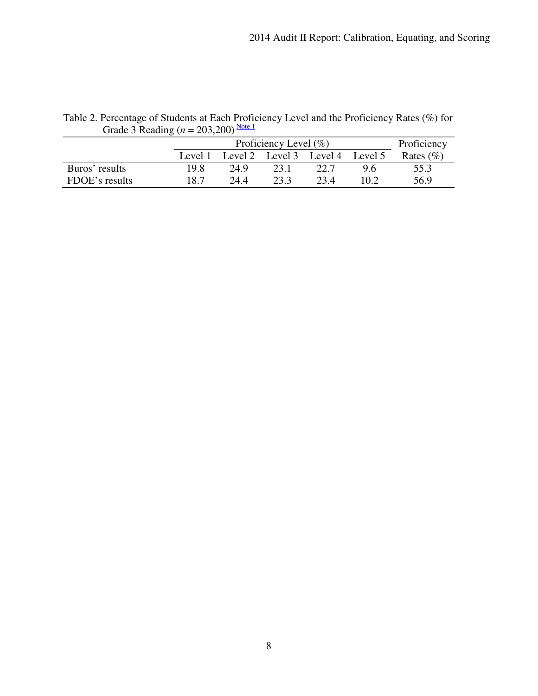|                | Proficiency Level $(\% )$ |      |      |                                 |      | Proficiency  |
|----------------|---------------------------|------|------|---------------------------------|------|--------------|
|                | Level 1                   |      |      | Level 2 Level 3 Level 4 Level 5 |      | Rates $(\%)$ |
| Buros' results | 19.8                      | 24.9 | 23 1 | 22.7                            | ց հ  | 55.3         |
| FDOE's results | 18.7                      | 24 A | 23.3 | 23.4                            | 10 2 | 56.9         |

Table 2. Percentage of Students at Each Proficiency Level and the Proficiency Rates (%) for Grade 3 Reading  $(n = 203,200)$ <sup>Note 1</sup>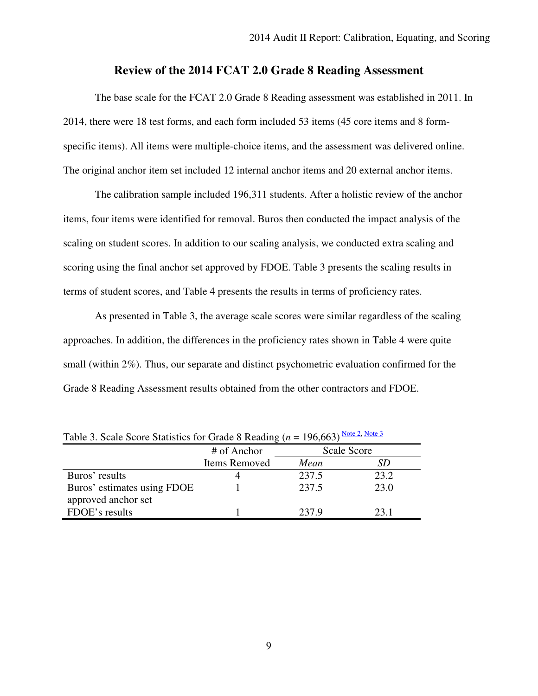# **Review of the 2014 FCAT 2.0 Grade 8 Reading Assessment**

 The base scale for the FCAT 2.0 Grade 8 Reading assessment was established in 2011. In 2014, there were 18 test forms, and each form included 53 items (45 core items and 8 form- specific items). All items were multiple-choice items, and the assessment was delivered online. The original anchor item set included 12 internal anchor items and 20 external anchor items.

 The calibration sample included 196,311 students. After a holistic review of the anchor items, four items were identified for removal. Buros then conducted the impact analysis of the scaling on student scores. In addition to our scaling analysis, we conducted extra scaling and scoring using the final anchor set approved by FDOE. Table 3 presents the scaling results in terms of student scores, and Table 4 presents the results in terms of proficiency rates.

 As presented in Table 3, the average scale scores were similar regardless of the scaling approaches. In addition, the differences in the proficiency rates shown in Table 4 were quite small (within 2%). Thus, our separate and distinct psychometric evaluation confirmed for the Grade 8 Reading Assessment results obtained from the other contractors and FDOE.

|                             | # of Anchor   | Scale Score |      |  |
|-----------------------------|---------------|-------------|------|--|
|                             | Items Removed | Mean        |      |  |
| Buros' results              |               | 237.5       | 23.2 |  |
| Buros' estimates using FDOE |               | 237.5       | 23.0 |  |
| approved anchor set         |               |             |      |  |
| FDOE's results              |               | 237.9       | 23.1 |  |

Table 3. Scale Score Statistics for Grade 8 Reading ( $n = 196,663$ ) Note 2, Note 3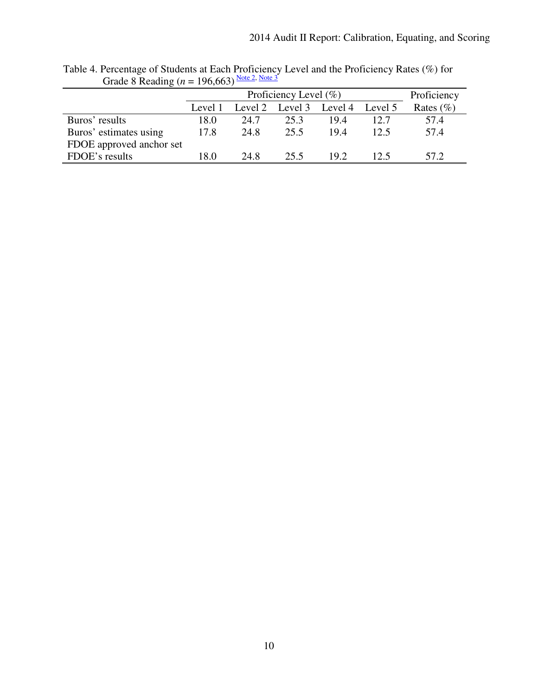|                          |         | Proficiency Level $(\% )$ |                         |      |         | Proficiency   |
|--------------------------|---------|---------------------------|-------------------------|------|---------|---------------|
|                          | Level 1 |                           | Level 2 Level 3 Level 4 |      | Level 5 | Rates $(\% )$ |
| Buros' results           | 18.0    | 24.7                      | 25.3                    | 19.4 | 12.7    | 57.4          |
| Buros' estimates using   | 17.8    | 24.8                      | 25.5                    | 19.4 | 12.5    | 57.4          |
| FDOE approved anchor set |         |                           |                         |      |         |               |
| FDOE's results           | 18.0    | 24.8                      | 25.5                    | 19.2 | 12.5    | 57.2          |

Table 4. Percentage of Students at Each Proficiency Level and the Proficiency Rates (%) for Grade 8 Reading ( $n = 196,663$ ) Note 2, Note 3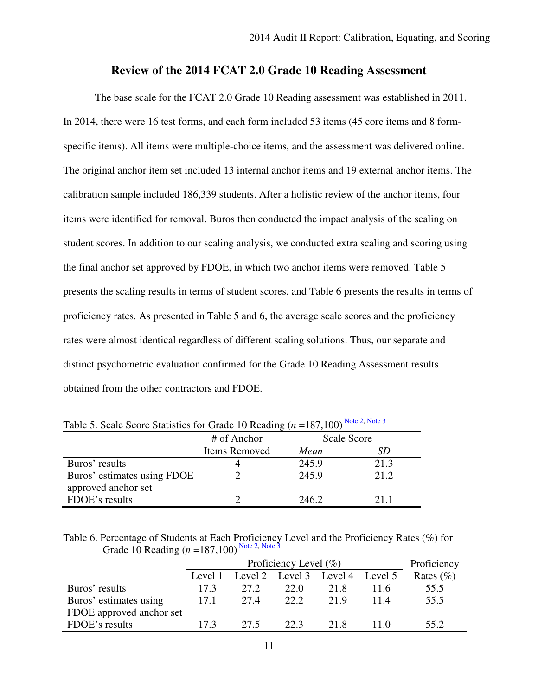# **Review of the 2014 FCAT 2.0 Grade 10 Reading Assessment**

 The base scale for the FCAT 2.0 Grade 10 Reading assessment was established in 2011. In 2014, there were 16 test forms, and each form included 53 items (45 core items and 8 form- specific items). All items were multiple-choice items, and the assessment was delivered online. The original anchor item set included 13 internal anchor items and 19 external anchor items. The calibration sample included 186,339 students. After a holistic review of the anchor items, four items were identified for removal. Buros then conducted the impact analysis of the scaling on student scores. In addition to our scaling analysis, we conducted extra scaling and scoring using the final anchor set approved by FDOE, in which two anchor items were removed. Table 5 presents the scaling results in terms of student scores, and Table 6 presents the results in terms of proficiency rates. As presented in Table 5 and 6, the average scale scores and the proficiency rates were almost identical regardless of different scaling solutions. Thus, our separate and distinct psychometric evaluation confirmed for the Grade 10 Reading Assessment results obtained from the other contractors and FDOE.

|                             | ັ             |             |       |  |  |
|-----------------------------|---------------|-------------|-------|--|--|
|                             | # of Anchor   | Scale Score |       |  |  |
|                             | Items Removed | Mean        |       |  |  |
| Buros' results              |               | 245.9       | 21.3  |  |  |
| Buros' estimates using FDOE |               | 245.9       | 21.2. |  |  |
| approved anchor set         |               |             |       |  |  |
| FDOE's results              |               | 246.2       | 211   |  |  |

Table 5. Scale Score Statistics for Grade 10 Reading  $(n = 187,100)$  Note 2, Note 3

 Table 6. Percentage of Students at Each Proficiency Level and the Proficiency Rates (%) for Grade 10 Reading  $(n = 187,100)$  Note 2, Note 3

|                          |         | Proficiency Level $(\% )$ |                         |      |         | Proficiency   |
|--------------------------|---------|---------------------------|-------------------------|------|---------|---------------|
|                          | Level 1 |                           | Level 2 Level 3 Level 4 |      | Level 5 | Rates $(\% )$ |
| Buros' results           | 17.3    | 27.2                      | 22.0                    | 21.8 | 11.6    | 55.5          |
| Buros' estimates using   | 17.1    | 27.4                      | 22.2                    | 21.9 | 11.4    | 55.5          |
| FDOE approved anchor set |         |                           |                         |      |         |               |
| FDOE's results           | 17.3    | 27.5                      | 22.3                    | 21.8 | 110     | 55.2          |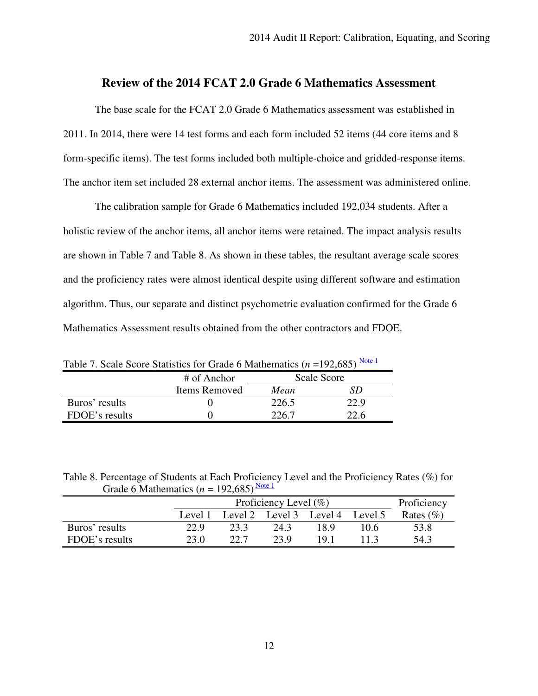# **Review of the 2014 FCAT 2.0 Grade 6 Mathematics Assessment**

 The base scale for the FCAT 2.0 Grade 6 Mathematics assessment was established in 2011. In 2014, there were 14 test forms and each form included 52 items (44 core items and 8 form-specific items). The test forms included both multiple-choice and gridded-response items. The anchor item set included 28 external anchor items. The assessment was administered online.

 The calibration sample for Grade 6 Mathematics included 192,034 students. After a holistic review of the anchor items, all anchor items were retained. The impact analysis results are shown in Table 7 and Table 8. As shown in these tables, the resultant average scale scores and the proficiency rates were almost identical despite using different software and estimation algorithm. Thus, our separate and distinct psychometric evaluation confirmed for the Grade 6 Mathematics Assessment results obtained from the other contractors and FDOE.

Table 7. Scale Score Statistics for Grade 6 Mathematics  $(n = 192,685)$  Note 1

|                | # of Anchor   | Scale Score |      |  |
|----------------|---------------|-------------|------|--|
|                | Items Removed | Mean        |      |  |
| Buros' results |               | 226.5       | 22.9 |  |
| FDOE's results |               | 226.7       | 22.6 |  |

 Table 8. Percentage of Students at Each Proficiency Level and the Proficiency Rates (%) for Grade 6 Mathematics ( $n = 192,685$ ) Note 1

|                | Proficiency Level $(\% )$ |      |      |                                 | Proficiency |               |
|----------------|---------------------------|------|------|---------------------------------|-------------|---------------|
|                | Level 1                   |      |      | Level 2 Level 3 Level 4 Level 5 |             | Rates $(\% )$ |
| Buros' results | 22.9                      | 23.3 | 243  | 18.9                            | 10.6        | 53.8          |
| FDOE's results | 23 Q                      | 22 J | 23 Q | 191                             |             | 54.3          |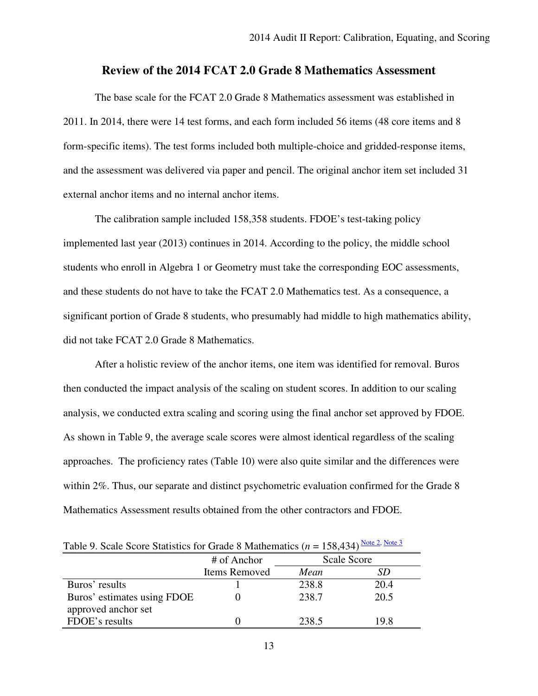# **Review of the 2014 FCAT 2.0 Grade 8 Mathematics Assessment**

 The base scale for the FCAT 2.0 Grade 8 Mathematics assessment was established in 2011. In 2014, there were 14 test forms, and each form included 56 items (48 core items and 8 form-specific items). The test forms included both multiple-choice and gridded-response items, and the assessment was delivered via paper and pencil. The original anchor item set included 31 external anchor items and no internal anchor items.

 The calibration sample included 158,358 students. FDOE's test-taking policy implemented last year (2013) continues in 2014. According to the policy, the middle school students who enroll in Algebra 1 or Geometry must take the corresponding EOC assessments, and these students do not have to take the FCAT 2.0 Mathematics test. As a consequence, a significant portion of Grade 8 students, who presumably had middle to high mathematics ability, did not take FCAT 2.0 Grade 8 Mathematics.

 After a holistic review of the anchor items, one item was identified for removal. Buros then conducted the impact analysis of the scaling on student scores. In addition to our scaling analysis, we conducted extra scaling and scoring using the final anchor set approved by FDOE. As shown in Table 9, the average scale scores were almost identical regardless of the scaling approaches. The proficiency rates (Table 10) were also quite similar and the differences were within 2%. Thus, our separate and distinct psychometric evaluation confirmed for the Grade 8 Mathematics Assessment results obtained from the other contractors and FDOE.

| Table 9. Scale Scole Statistics for Graue 6 Matrichiancs $(n - 136,434)$ |               |             |      |  |  |  |
|--------------------------------------------------------------------------|---------------|-------------|------|--|--|--|
|                                                                          | # of Anchor   | Scale Score |      |  |  |  |
|                                                                          | Items Removed | Mean        |      |  |  |  |
| Buros' results                                                           |               | 238.8       | 20.4 |  |  |  |
| Buros' estimates using FDOE                                              |               | 238.7       | 20.5 |  |  |  |
| approved anchor set                                                      |               |             |      |  |  |  |
| FDOE's results                                                           |               | 238.5       | 19.8 |  |  |  |

Table 9. Scale Score Statistics for Grade 8 Mathematics ( $n = 158,434$ ) Note 2, Note 3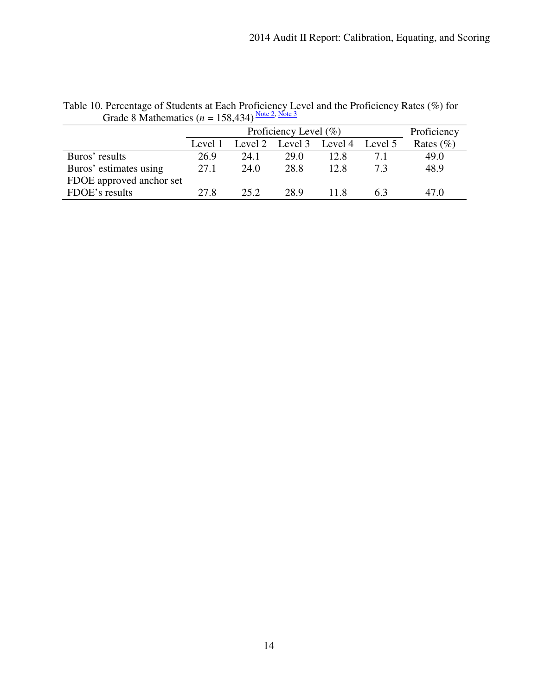|                          |         | Proficiency Level $(\% )$ |                         |      |         | Proficiency   |
|--------------------------|---------|---------------------------|-------------------------|------|---------|---------------|
|                          | Level 1 |                           | Level 2 Level 3 Level 4 |      | Level 5 | Rates $(\% )$ |
| Buros' results           | 26.9    | 24.1                      | 29.0                    | 12.8 | 71      | 49.0          |
| Buros' estimates using   | 27.1    | 24.0                      | 28.8                    | 12.8 | 73      | 48.9          |
| FDOE approved anchor set |         |                           |                         |      |         |               |
| FDOE's results           | 27.8    | 25.2                      | 28.9                    | 11.8 |         | 47.0          |

Table 10. Percentage of Students at Each Proficiency Level and the Proficiency Rates (%) for Grade 8 Mathematics ( $n = 158,434$ ) Note 2, Note 3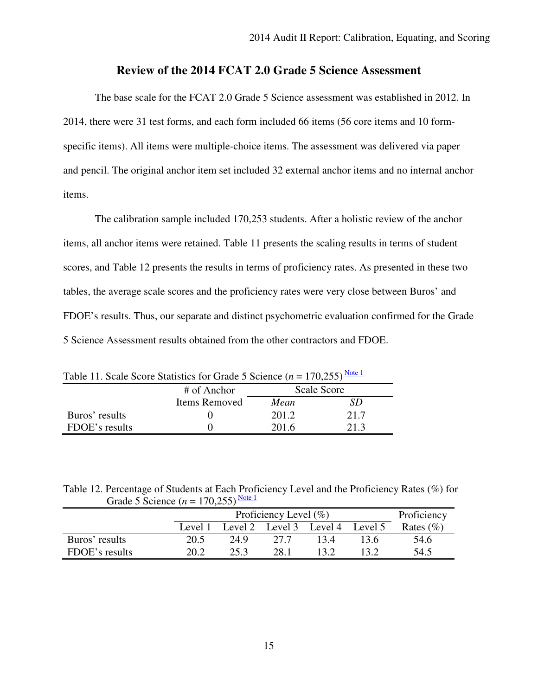# **Review of the 2014 FCAT 2.0 Grade 5 Science Assessment**

 The base scale for the FCAT 2.0 Grade 5 Science assessment was established in 2012. In 2014, there were 31 test forms, and each form included 66 items (56 core items and 10 form- specific items). All items were multiple-choice items. The assessment was delivered via paper and pencil. The original anchor item set included 32 external anchor items and no internal anchor items.

 items. The calibration sample included 170,253 students. After a holistic review of the anchor items, all anchor items were retained. Table 11 presents the scaling results in terms of student scores, and Table 12 presents the results in terms of proficiency rates. As presented in these two tables, the average scale scores and the proficiency rates were very close between Buros' and FDOE's results. Thus, our separate and distinct psychometric evaluation confirmed for the Grade 5 Science Assessment results obtained from the other contractors and FDOE.

| Table 11. Scale Score Statistics for Grade 5 Science $(n = 1/0,255)$ |               |             |      |  |  |  |
|----------------------------------------------------------------------|---------------|-------------|------|--|--|--|
|                                                                      | # of Anchor   | Scale Score |      |  |  |  |
|                                                                      | Items Removed | Mean        | SD   |  |  |  |
| Buros' results                                                       |               | 201.2       | 21.7 |  |  |  |
| FDOE's results                                                       |               | 201.6       | 21.3 |  |  |  |

Table 11. Scale Score Statistics for Grade 5 Science  $(n = 170,255)$ <sup>Note 1</sup>

 Table 12. Percentage of Students at Each Proficiency Level and the Proficiency Rates (%) for Grade 5 Science  $(n = 170,255)$ <sup>Note 1</sup>

|                | Proficiency Level $(\% )$ |      |      |                                 | Proficiency |              |
|----------------|---------------------------|------|------|---------------------------------|-------------|--------------|
|                | Level 1                   |      |      | Level 2 Level 3 Level 4 Level 5 |             | Rates $(\%)$ |
| Buros' results | 20.5                      | 24.9 | 27 Z | 134                             | 13.6        | 54.6         |
| FDOE's results | 20.2                      |      | 28.1 | 13 9                            |             | 54.5         |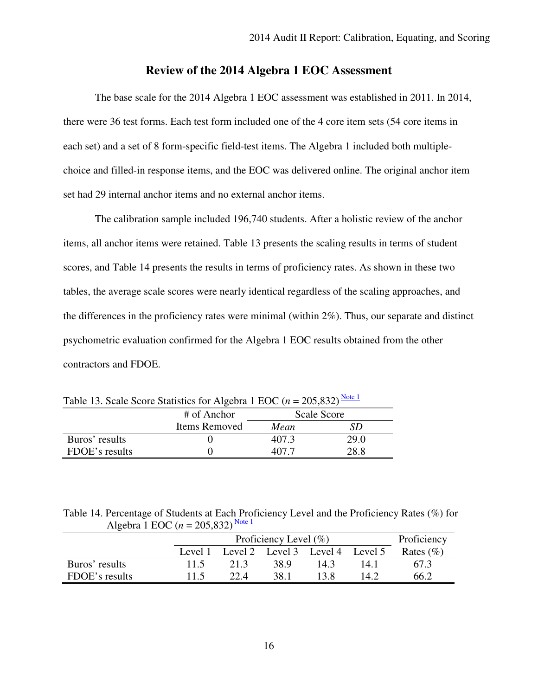# **Review of the 2014 Algebra 1 EOC Assessment**

 The base scale for the 2014 Algebra 1 EOC assessment was established in 2011. In 2014, there were 36 test forms. Each test form included one of the 4 core item sets (54 core items in each set) and a set of 8 form-specific field-test items. The Algebra 1 included both multiple- choice and filled-in response items, and the EOC was delivered online. The original anchor item set had 29 internal anchor items and no external anchor items.

 The calibration sample included 196,740 students. After a holistic review of the anchor items, all anchor items were retained. Table 13 presents the scaling results in terms of student scores, and Table 14 presents the results in terms of proficiency rates. As shown in these two tables, the average scale scores were nearly identical regardless of the scaling approaches, and the differences in the proficiency rates were minimal (within 2%). Thus, our separate and distinct psychometric evaluation confirmed for the Algebra 1 EOC results obtained from the other contractors and FDOE.

| Table 15. Scale Score Statistics for Algebra 1 EOC $(n - 203, 032)$ |               |             |      |  |  |
|---------------------------------------------------------------------|---------------|-------------|------|--|--|
|                                                                     | # of Anchor   | Scale Score |      |  |  |
|                                                                     | Items Removed | Mean        | SD   |  |  |
| Buros' results                                                      |               | 407.3       | 29.0 |  |  |
| FDOE's results                                                      |               | 407 7       | 28.8 |  |  |

Table 13. Scale Score Statistics for Algebra 1 EOC  $(n = 205,832)$ <sup>Note 1</sup>

 Table 14. Percentage of Students at Each Proficiency Level and the Proficiency Rates (%) for Algebra 1 EOC ( $n = 205,832$ )<sup>Note 1</sup>

|                | Proficiency Level $(\% )$ |      |      | Proficiency                     |      |              |
|----------------|---------------------------|------|------|---------------------------------|------|--------------|
|                | Level 1                   |      |      | Level 2 Level 3 Level 4 Level 5 |      | Rates $(\%)$ |
| Buros' results | 11.5                      | 213  | 38.9 | 14.3                            | 14 1 | 67.3         |
| FDOE's results | 115                       | 22.4 | 38.1 | 13 8                            | 14 2 | 66.2         |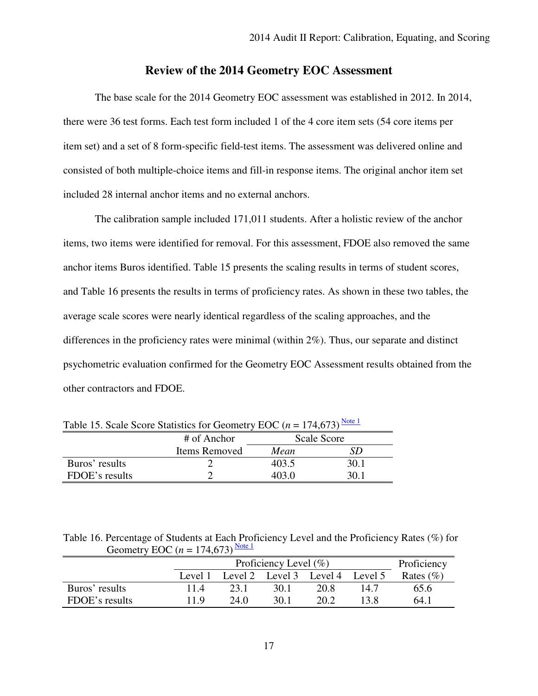# **Review of the 2014 Geometry EOC Assessment**

 The base scale for the 2014 Geometry EOC assessment was established in 2012. In 2014, there were 36 test forms. Each test form included 1 of the 4 core item sets (54 core items per item set) and a set of 8 form-specific field-test items. The assessment was delivered online and consisted of both multiple-choice items and fill-in response items. The original anchor item set included 28 internal anchor items and no external anchors.

 The calibration sample included 171,011 students. After a holistic review of the anchor items, two items were identified for removal. For this assessment, FDOE also removed the same anchor items Buros identified. Table 15 presents the scaling results in terms of student scores, and Table 16 presents the results in terms of proficiency rates. As shown in these two tables, the average scale scores were nearly identical regardless of the scaling approaches, and the differences in the proficiency rates were minimal (within 2%). Thus, our separate and distinct psychometric evaluation confirmed for the Geometry EOC Assessment results obtained from the other contractors and FDOE.

|                | # of Anchor   | Scale Score |      |  |
|----------------|---------------|-------------|------|--|
|                | Items Removed | Mean        |      |  |
| Buros' results |               | 403.5       | 30.1 |  |
| FDOE's results |               |             |      |  |

Table 15. Scale Score Statistics for Geometry EOC  $(n = 174,673)$ <sup>Note 1</sup>

 Table 16. Percentage of Students at Each Proficiency Level and the Proficiency Rates (%) for Geometry EOC  $(n = 174,673)$ <sup>Note 1</sup>

|                | Proficiency Level $(\% )$ |      |                                 |      | Proficiency |              |
|----------------|---------------------------|------|---------------------------------|------|-------------|--------------|
|                | Level 1                   |      | Level 2 Level 3 Level 4 Level 5 |      |             | Rates $(\%)$ |
| Buros' results | 11.4                      | 23.1 | 30.1                            | 20.8 | 14.7        | 65.6         |
| FDOE's results | 11 Q                      | 24 O | 30.1                            | 20.2 |             | 64.1         |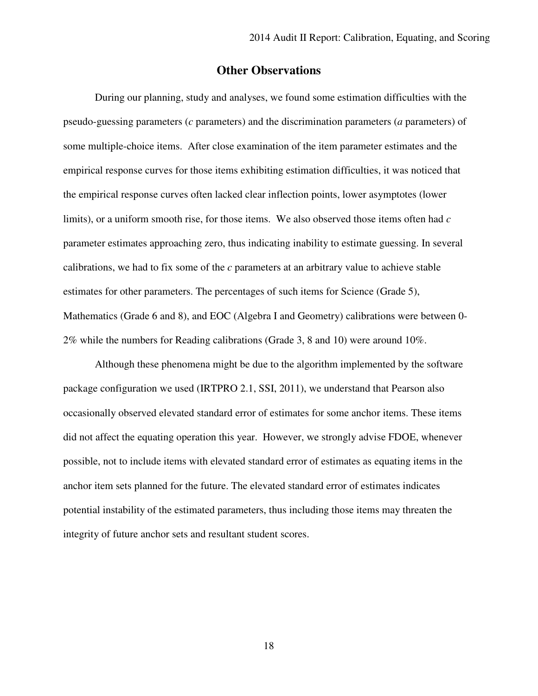### **Other Observations**

 During our planning, study and analyses, we found some estimation difficulties with the pseudo-guessing parameters (*c* parameters) and the discrimination parameters (*a* parameters) of some multiple-choice items. After close examination of the item parameter estimates and the empirical response curves for those items exhibiting estimation difficulties, it was noticed that the empirical response curves often lacked clear inflection points, lower asymptotes (lower limits), or a uniform smooth rise, for those items. We also observed those items often had *c*  parameter estimates approaching zero, thus indicating inability to estimate guessing. In several calibrations, we had to fix some of the *c* parameters at an arbitrary value to achieve stable estimates for other parameters. The percentages of such items for Science (Grade 5), Mathematics (Grade 6 and 8), and EOC (Algebra I and Geometry) calibrations were between 0 2% while the numbers for Reading calibrations (Grade 3, 8 and 10) were around 10%.

 Although these phenomena might be due to the algorithm implemented by the software package configuration we used (IRTPRO 2.1, SSI, 2011), we understand that Pearson also occasionally observed elevated standard error of estimates for some anchor items. These items did not affect the equating operation this year. However, we strongly advise FDOE, whenever possible, not to include items with elevated standard error of estimates as equating items in the anchor item sets planned for the future. The elevated standard error of estimates indicates potential instability of the estimated parameters, thus including those items may threaten the integrity of future anchor sets and resultant student scores.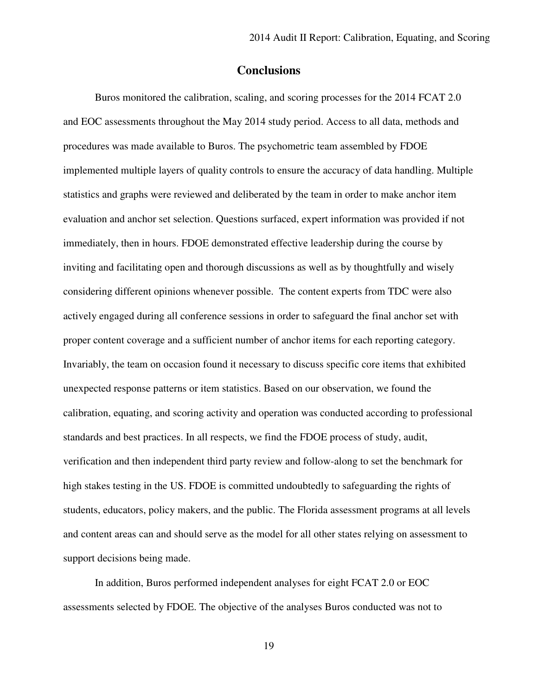### **Conclusions**

 Buros monitored the calibration, scaling, and scoring processes for the 2014 FCAT 2.0 and EOC assessments throughout the May 2014 study period. Access to all data, methods and procedures was made available to Buros. The psychometric team assembled by FDOE implemented multiple layers of quality controls to ensure the accuracy of data handling. Multiple statistics and graphs were reviewed and deliberated by the team in order to make anchor item evaluation and anchor set selection. Questions surfaced, expert information was provided if not immediately, then in hours. FDOE demonstrated effective leadership during the course by inviting and facilitating open and thorough discussions as well as by thoughtfully and wisely considering different opinions whenever possible. The content experts from TDC were also actively engaged during all conference sessions in order to safeguard the final anchor set with proper content coverage and a sufficient number of anchor items for each reporting category. Invariably, the team on occasion found it necessary to discuss specific core items that exhibited unexpected response patterns or item statistics. Based on our observation, we found the calibration, equating, and scoring activity and operation was conducted according to professional standards and best practices. In all respects, we find the FDOE process of study, audit, verification and then independent third party review and follow-along to set the benchmark for high stakes testing in the US. FDOE is committed undoubtedly to safeguarding the rights of students, educators, policy makers, and the public. The Florida assessment programs at all levels and content areas can and should serve as the model for all other states relying on assessment to support decisions being made.

 In addition, Buros performed independent analyses for eight FCAT 2.0 or EOC assessments selected by FDOE. The objective of the analyses Buros conducted was not to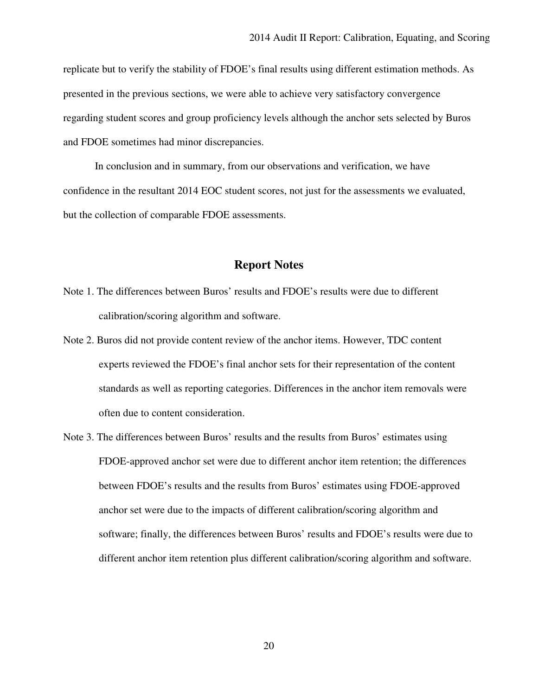replicate but to verify the stability of FDOE's final results using different estimation methods. As presented in the previous sections, we were able to achieve very satisfactory convergence regarding student scores and group proficiency levels although the anchor sets selected by Buros and FDOE sometimes had minor discrepancies.

 In conclusion and in summary, from our observations and verification, we have confidence in the resultant 2014 EOC student scores, not just for the assessments we evaluated, but the collection of comparable FDOE assessments.

# **Report Notes**

- Note 1. The differences between Buros' results and FDOE's results were due to different calibration/scoring algorithm and software.
- Note 2. Buros did not provide content review of the anchor items. However, TDC content experts reviewed the FDOE's final anchor sets for their representation of the content standards as well as reporting categories. Differences in the anchor item removals were often due to content consideration.
- Note 3. The differences between Buros' results and the results from Buros' estimates using FDOE-approved anchor set were due to different anchor item retention; the differences between FDOE's results and the results from Buros' estimates using FDOE-approved anchor set were due to the impacts of different calibration/scoring algorithm and software; finally, the differences between Buros' results and FDOE's results were due to different anchor item retention plus different calibration/scoring algorithm and software.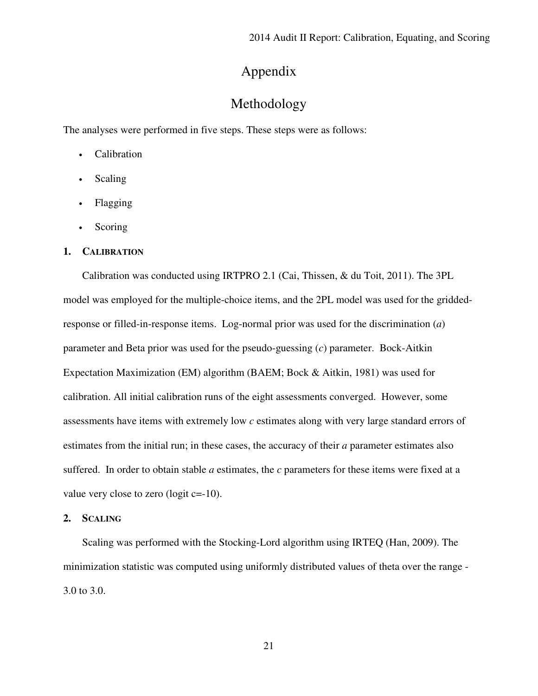# Appendix

# Methodology

The analyses were performed in five steps. These steps were as follows:

- Calibration
- Scaling
- Flagging
- Scoring

#### **1. CALIBRATION**

 Calibration was conducted using IRTPRO 2.1 (Cai, Thissen, & du Toit, 2011). The 3PL model was employed for the multiple-choice items, and the 2PL model was used for the gridded- response or filled-in-response items. Log-normal prior was used for the discrimination (*a*) parameter and Beta prior was used for the pseudo-guessing (*c*) parameter. Bock-Aitkin Expectation Maximization (EM) algorithm (BAEM; Bock & Aitkin, 1981) was used for calibration. All initial calibration runs of the eight assessments converged. However, some assessments have items with extremely low *c* estimates along with very large standard errors of estimates from the initial run; in these cases, the accuracy of their *a* parameter estimates also suffered. In order to obtain stable *a* estimates, the *c* parameters for these items were fixed at a value very close to zero (logit  $c=-10$ ).

#### **2. SCALING**

 Scaling was performed with the Stocking-Lord algorithm using IRTEQ (Han, 2009). The minimization statistic was computed using uniformly distributed values of theta over the range 3.0 to 3.0.